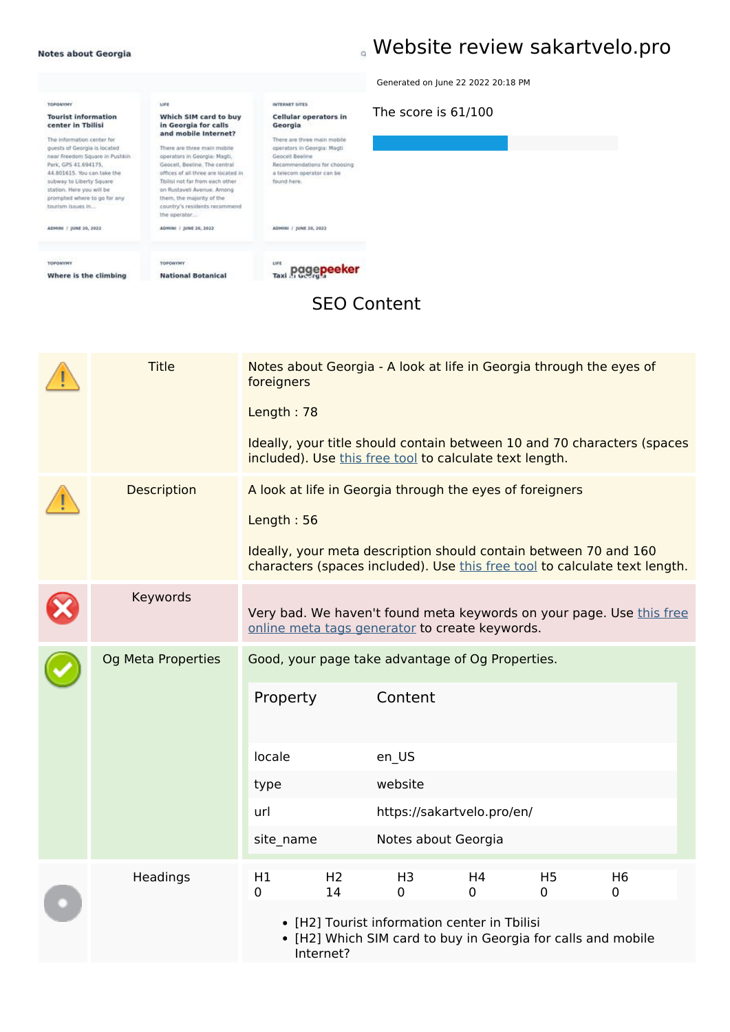# **Website review sakartvelo.pro**

|                                                                                                                                                                                                                                                                                                                                         |                                                                                                                                                                                                                                                                                                                                                                     |                                                                                                                                                                                                                         | Generated on June 22 2022 20:18 PM |
|-----------------------------------------------------------------------------------------------------------------------------------------------------------------------------------------------------------------------------------------------------------------------------------------------------------------------------------------|---------------------------------------------------------------------------------------------------------------------------------------------------------------------------------------------------------------------------------------------------------------------------------------------------------------------------------------------------------------------|-------------------------------------------------------------------------------------------------------------------------------------------------------------------------------------------------------------------------|------------------------------------|
| <b>TOPONYMY</b><br><b>Tourist information</b><br>center in Tbilisi<br>The information center for<br>quests of Georgia is located<br>near Freedom Square in Pushkin<br>Park, GPS 41.694175.<br>44.801615. You can take the<br>subway to Liberty Square<br>station, Here you will be<br>prompted where to go for any<br>tourism issues in | LIFE<br>Which SIM card to buy<br>in Georgia for calls<br>and mobile Internet?<br>There are three main mobile<br>operators in Georgia: Magti,<br>Geocell, Beeline. The central<br>offices of all three are located in<br>Tbilisi not far from each other<br>on Rustaveli Avenue, Among<br>them, the majority of the<br>country's residents recommend<br>the operator | <b>INTERNET SITES</b><br>Cellular operators in<br>Georgia<br>There are three main mobile<br>operators in Georgia: Magti.<br>Geocell Beeline<br>Recommendations for choosing<br>a telecom operator can be<br>found here. | The score is 61/100                |
| ADMINI / JUNE 20, 2022                                                                                                                                                                                                                                                                                                                  | ADMINI / yout 20, 2022                                                                                                                                                                                                                                                                                                                                              | ADMINI / JUNE 26, 2022                                                                                                                                                                                                  |                                    |
| <b>TOPONYMY</b><br>Where is the climbing                                                                                                                                                                                                                                                                                                | <b>TOPONYMY</b><br><b>National Botanical</b>                                                                                                                                                                                                                                                                                                                        | <b>LIFE</b><br>epeeker<br>Taxi di Georgia                                                                                                                                                                               |                                    |

#### **SEO Content**

|  | <b>Title</b>       | foreigners<br>Length: 78                       |                                   | Notes about Georgia - A look at life in Georgia through the eyes of                                                                           |                |                               |                                                                            |  |
|--|--------------------|------------------------------------------------|-----------------------------------|-----------------------------------------------------------------------------------------------------------------------------------------------|----------------|-------------------------------|----------------------------------------------------------------------------|--|
|  |                    |                                                |                                   | included). Use this free tool to calculate text length.                                                                                       |                |                               | Ideally, your title should contain between 10 and 70 characters (spaces    |  |
|  | <b>Description</b> | Length: 56                                     |                                   | A look at life in Georgia through the eyes of foreigners<br>Ideally, your meta description should contain between 70 and 160                  |                |                               | characters (spaces included). Use this free tool to calculate text length. |  |
|  | Keywords           |                                                |                                   | online meta tags generator to create keywords.                                                                                                |                |                               | Very bad. We haven't found meta keywords on your page. Use this free       |  |
|  | Og Meta Properties | Property<br>locale<br>type<br>url<br>site_name |                                   | Good, your page take advantage of Og Properties.<br>Content<br>en_US<br>website<br>https://sakartvelo.pro/en/<br>Notes about Georgia          |                |                               |                                                                            |  |
|  | Headings           | H1<br>0                                        | H <sub>2</sub><br>14<br>Internet? | H <sub>3</sub><br>$\mathbf 0$<br>• [H2] Tourist information center in Tbilisi<br>• [H2] Which SIM card to buy in Georgia for calls and mobile | H4<br>$\Omega$ | H <sub>5</sub><br>$\mathbf 0$ | H <sub>6</sub><br>0                                                        |  |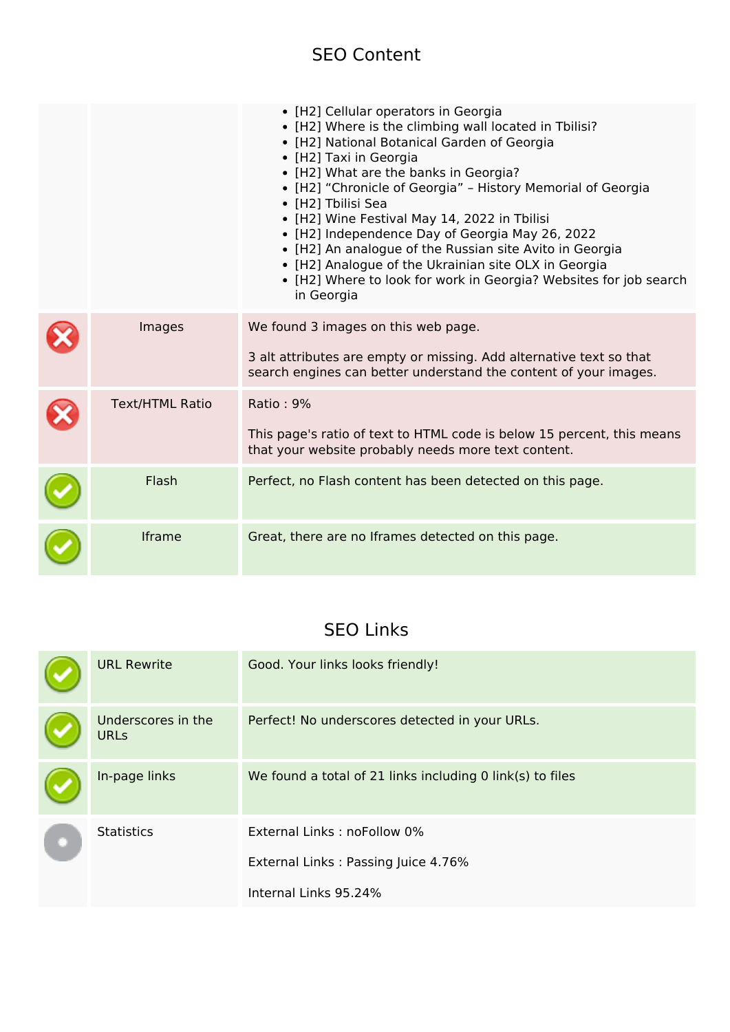#### **SEO Content**

|                        | • [H2] Cellular operators in Georgia<br>• [H2] Where is the climbing wall located in Tbilisi?<br>• [H2] National Botanical Garden of Georgia<br>• [H2] Taxi in Georgia<br>• [H2] What are the banks in Georgia?<br>• [H2] "Chronicle of Georgia" - History Memorial of Georgia<br>• [H2] Tbilisi Sea<br>• [H2] Wine Festival May 14, 2022 in Tbilisi<br>• [H2] Independence Day of Georgia May 26, 2022<br>• [H2] An analogue of the Russian site Avito in Georgia<br>• [H2] Analogue of the Ukrainian site OLX in Georgia<br>• [H2] Where to look for work in Georgia? Websites for job search<br>in Georgia |
|------------------------|---------------------------------------------------------------------------------------------------------------------------------------------------------------------------------------------------------------------------------------------------------------------------------------------------------------------------------------------------------------------------------------------------------------------------------------------------------------------------------------------------------------------------------------------------------------------------------------------------------------|
| Images                 | We found 3 images on this web page.<br>3 alt attributes are empty or missing. Add alternative text so that<br>search engines can better understand the content of your images.                                                                                                                                                                                                                                                                                                                                                                                                                                |
|                        |                                                                                                                                                                                                                                                                                                                                                                                                                                                                                                                                                                                                               |
| <b>Text/HTML Ratio</b> | <b>Ratio: 9%</b>                                                                                                                                                                                                                                                                                                                                                                                                                                                                                                                                                                                              |
|                        | This page's ratio of text to HTML code is below 15 percent, this means<br>that your website probably needs more text content.                                                                                                                                                                                                                                                                                                                                                                                                                                                                                 |
| Flash                  | Perfect, no Flash content has been detected on this page.                                                                                                                                                                                                                                                                                                                                                                                                                                                                                                                                                     |
| <b>Iframe</b>          | Great, there are no Iframes detected on this page.                                                                                                                                                                                                                                                                                                                                                                                                                                                                                                                                                            |

### **SEO Links**

|  | <b>URL Rewrite</b>                | Good. Your links looks friendly!                          |
|--|-----------------------------------|-----------------------------------------------------------|
|  | Underscores in the<br><b>URLs</b> | Perfect! No underscores detected in your URLs.            |
|  | In-page links                     | We found a total of 21 links including 0 link(s) to files |
|  | <b>Statistics</b>                 | External Links: noFollow 0%                               |
|  |                                   | External Links: Passing Juice 4.76%                       |
|  |                                   | Internal Links 95.24%                                     |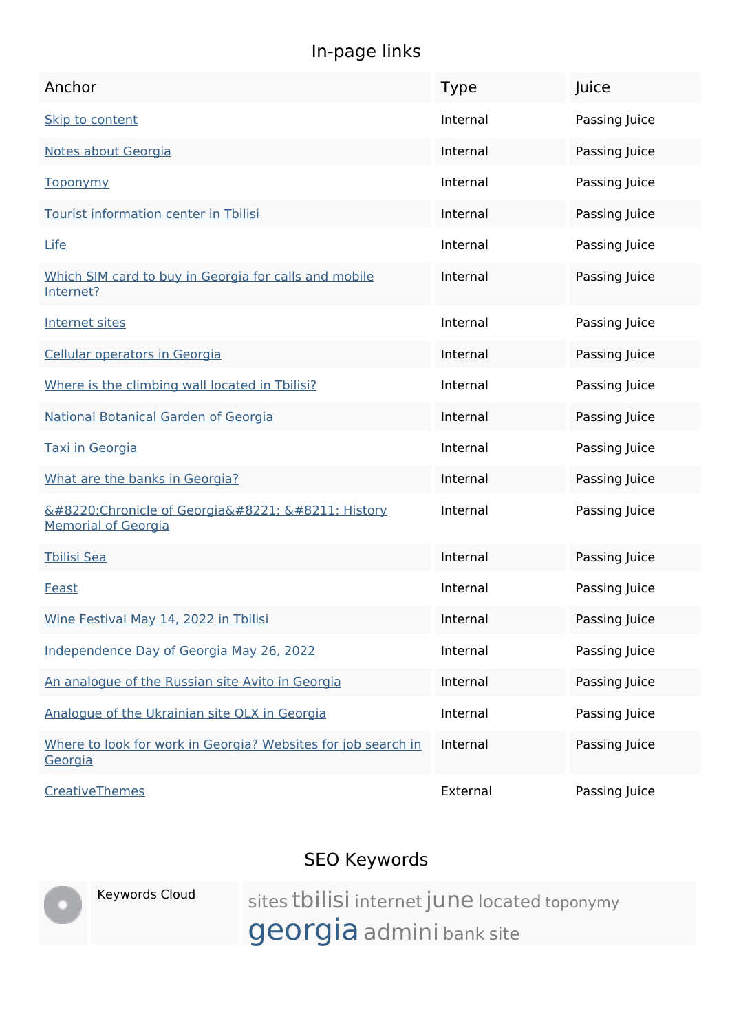## **In-page links**

| Anchor                                                                   | <b>Type</b> | Juice         |
|--------------------------------------------------------------------------|-------------|---------------|
| Skip to content                                                          | Internal    | Passing Juice |
| Notes about Georgia                                                      | Internal    | Passing Juice |
| <b>Toponymy</b>                                                          | Internal    | Passing Juice |
| Tourist information center in Tbilisi                                    | Internal    | Passing Juice |
| <b>Life</b>                                                              | Internal    | Passing Juice |
| Which SIM card to buy in Georgia for calls and mobile<br>Internet?       | Internal    | Passing Juice |
| Internet sites                                                           | Internal    | Passing Juice |
| Cellular operators in Georgia                                            | Internal    | Passing Juice |
| Where is the climbing wall located in Tbilisi?                           | Internal    | Passing Juice |
| National Botanical Garden of Georgia                                     | Internal    | Passing Juice |
| Taxi in Georgia                                                          | Internal    | Passing Juice |
| What are the banks in Georgia?                                           | Internal    | Passing Juice |
| "Chronicle of Georgia" – History<br><b>Memorial of Georgia</b>           | Internal    | Passing Juice |
| <b>Tbilisi Sea</b>                                                       | Internal    | Passing Juice |
| Feast                                                                    | Internal    | Passing Juice |
| Wine Festival May 14, 2022 in Tbilisi                                    | Internal    | Passing Juice |
| Independence Day of Georgia May 26, 2022                                 | Internal    | Passing Juice |
| An analogue of the Russian site Avito in Georgia                         | Internal    | Passing Juice |
| Analogue of the Ukrainian site OLX in Georgia                            | Internal    | Passing Juice |
| Where to look for work in Georgia? Websites for job search in<br>Georgia | Internal    | Passing Juice |
| CreativeThemes                                                           | External    | Passing Juice |

## **SEO Keywords**



Keywords Cloud sites tbilisi internet june located toponymy georgia admini bank site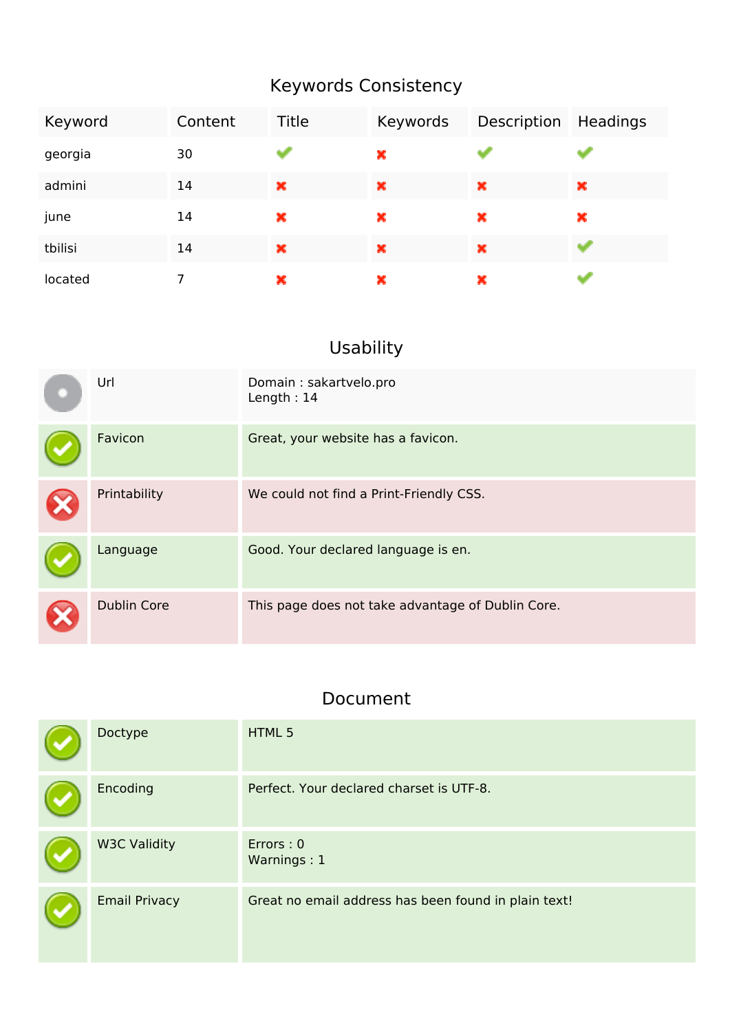## **Keywords Consistency**

| Keyword | Content | Title | Keywords | Description Headings |   |
|---------|---------|-------|----------|----------------------|---|
| georgia | 30      |       | ×        |                      |   |
| admini  | 14      | ×     | ×        | ×                    | × |
| june    | 14      | ×     | ×        | ×                    | × |
| tbilisi | 14      | ×     | ×        | ×                    |   |
| located |         | ×     | ×        | ×                    |   |

## **Usability**

| Url                | Domain: sakartvelo.pro<br>Length: 14              |
|--------------------|---------------------------------------------------|
| Favicon            | Great, your website has a favicon.                |
| Printability       | We could not find a Print-Friendly CSS.           |
| Language           | Good. Your declared language is en.               |
| <b>Dublin Core</b> | This page does not take advantage of Dublin Core. |

#### **Document**

| Doctype              | HTML 5                                               |
|----------------------|------------------------------------------------------|
| Encoding             | Perfect. Your declared charset is UTF-8.             |
| <b>W3C Validity</b>  | Errors: 0<br>Warnings: 1                             |
| <b>Email Privacy</b> | Great no email address has been found in plain text! |